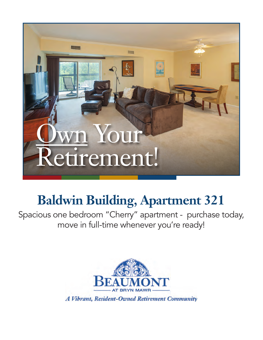

## **Baldwin Building, Apartment 321**

Spacious one bedroom "Cherry" apartment - purchase today, move in full-time whenever you're ready!

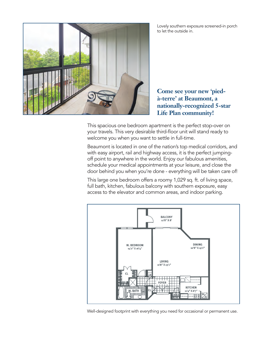



**Come see your new 'piedà-terre' at Beaumont, a nationally-recognized 5-star Life Plan community!**

This spacious one bedroom apartment is the perfect stop-over on your travels. This very desirable third-floor unit will stand ready to welcome you when you want to settle in full-time.

Beaumont is located in one of the nation's top medical corridors, and with easy airport, rail and highway access, it is the perfect jumpingoff point to anywhere in the world. Enjoy our fabulous amenities, schedule your medical appointments at your leisure, and close the door behind you when you're done - everything will be taken care of!

This large one bedroom offers a roomy 1,029 sq. ft. of living space, full bath, kitchen, fabulous balcony with southern exposure, easy access to the elevator and common areas, and indoor parking.



Well-designed footprint with everything you need for occasional or permanent use.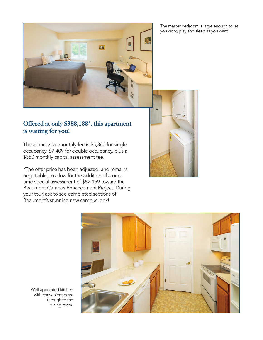E.E

## **Offered at only \$388,188\*, this apartment is waiting for you!**

The all-inclusive monthly fee is \$5,360 for single occupancy, \$7,409 for double occupancy, plus a \$350 monthly capital assessment fee.

\*The offer price has been adjusted, and remains negotiable, to allow for the addition of a onetime special assessment of \$52,159 toward the Beaumont Campus Enhancement Project. During your tour, ask to see completed sections of Beaumont's stunning new campus look!

The master bedroom is large enough to let you work, play and sleep as you want.





Well-appointed kitchen with convenient passthrough to the dining room.